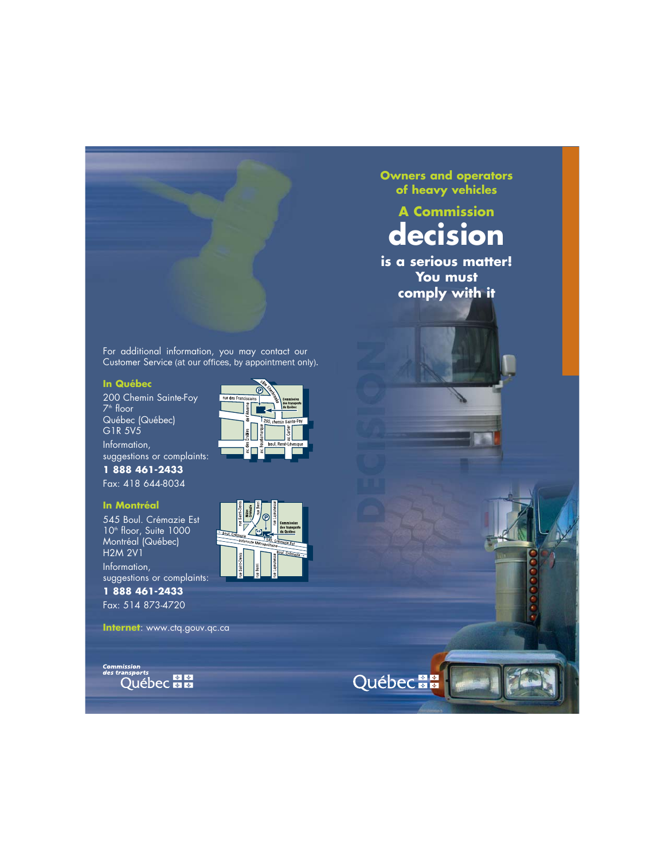For additional information, you may contact our Customer Service (at our offices, by appointment only).

#### **In Québec**

200 Chemin Sainte-Foy 7 th floor Québec (Québec) G1R 5V5

Information, suggestions or complaints:

**1 888 461-2433** Fax: 418 644-8034

#### **In Montréal**

545 Boul. Crémazie Est 10th floor, Suite 1000 Montréal (Québec) H2M 2V1

Information, suggestions or complaints:

**1 888 461-2433** Fax: 514 873-4720

**Internet**: www.ctq.gouv.qc.ca

**Commission<br>des transports** Québec **E E** 





**Owners and operators of heavy vehicles**

# **A Commission decision**

**is a serious matter! You must comply with it**

**Québec En**